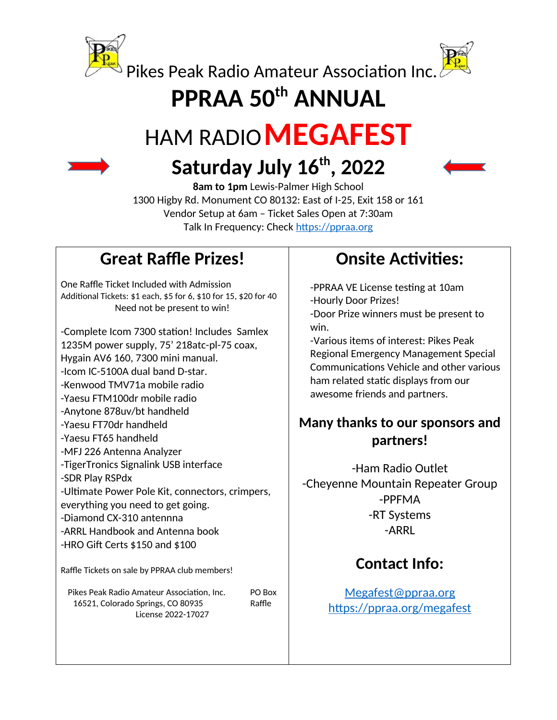Pikes Peak Radio Amateur Association Inc.

## **PPRAA 50th ANNUAL**

# HAM RADIO**MEGAFEST**



## **Saturday July 16th, 2022**



**8am to 1pm** Lewis-Palmer High School 1300 Higby Rd. Monument CO 80132: East of I-25, Exit 158 or 161 Vendor Setup at 6am – Ticket Sales Open at 7:30am Talk In Frequency: Check [https://ppraa.org](https://ppraa.org/)

### **Great Raffle Prizes!**

One Raffle Ticket Included with Admission Additional Tickets: \$1 each, \$5 for 6, \$10 for 15, \$20 for 40 Need not be present to win!

-Complete Icom 7300 station! Includes Samlex 1235M power supply, 75' 218atc-pl-75 coax, Hygain AV6 160, 7300 mini manual. -Icom IC-5100A dual band D-star. -Kenwood TMV71a mobile radio -Yaesu FTM100dr mobile radio -Anytone 878uv/bt handheld -Yaesu FT70dr handheld -Yaesu FT65 handheld -MFJ 226 Antenna Analyzer -TigerTronics Signalink USB interface -SDR Play RSPdx -Ultimate Power Pole Kit, connectors, crimpers, everything you need to get going. -Diamond CX-310 antennna -ARRL Handbook and Antenna book -HRO Gift Certs \$150 and \$100 Raffle Tickets on sale by PPRAA club members!

Pikes Peak Radio Amateur Association, Inc. PO Box 16521, Colorado Springs, CO 80935 Raffle

License 2022-17027

## **Onsite Activities:**

-PPRAA VE License testing at 10am -Hourly Door Prizes!

-Door Prize winners must be present to win.

-Various items of interest: Pikes Peak Regional Emergency Management Special Communications Vehicle and other various ham related static displays from our awesome friends and partners.

#### **Many thanks to our sponsors and partners!**

-Ham Radio Outlet -Cheyenne Mountain Repeater Group -PPFMA -RT Systems -ARRL

### **Contact Info:**

[Megafest@ppraa.org](mailto:Megafest@ppraa.org) <https://ppraa.org/megafest>